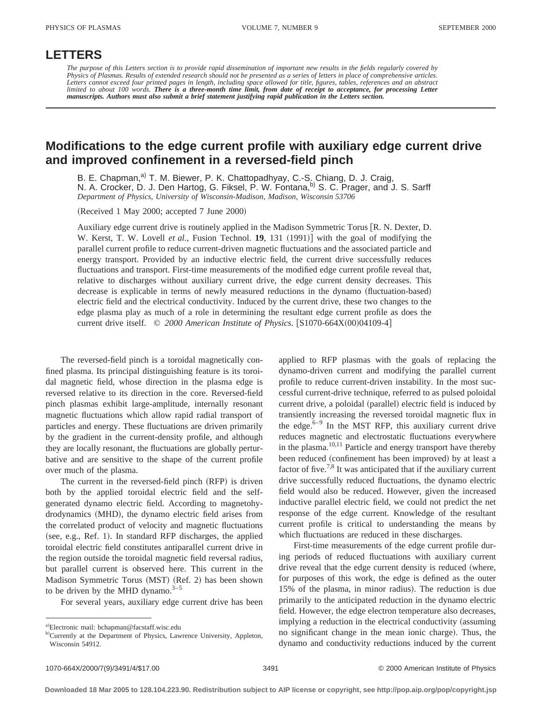## **LETTERS**

*The purpose of this Letters section is to provide rapid dissemination of important new results in the fields regularly covered by Physics of Plasmas. Results of extended research should not be presented as a series of letters in place of comprehensive articles.* Letters cannot exceed four printed pages in length, including space allowed for title, figures, tables, references and an abstract<br>limited to about 100 words. **There is a three-month time limit, from date of receipt to acc** *manuscripts. Authors must also submit a brief statement justifying rapid publication in the Letters section.*

## **Modifications to the edge current profile with auxiliary edge current drive and improved confinement in a reversed-field pinch**

B. E. Chapman,<sup>a)</sup> T. M. Biewer, P. K. Chattopadhyay, C.-S. Chiang, D. J. Craig, N. A. Crocker, D. J. Den Hartog, G. Fiksel, P. W. Fontana, <sup>b)</sup> S. C. Prager, and J. S. Sarff *Department of Physics, University of Wisconsin-Madison, Madison, Wisconsin 53706*

 $(Received 1 May 2000; accepted 7 June 2000)$ 

Auxiliary edge current drive is routinely applied in the Madison Symmetric Torus  $[R, N]$ . Dexter, D. W. Kerst, T. W. Lovell *et al.*, Fusion Technol. **19**, 131 (1991)] with the goal of modifying the parallel current profile to reduce current-driven magnetic fluctuations and the associated particle and energy transport. Provided by an inductive electric field, the current drive successfully reduces fluctuations and transport. First-time measurements of the modified edge current profile reveal that, relative to discharges without auxiliary current drive, the edge current density decreases. This decrease is explicable in terms of newly measured reductions in the dynamo (fluctuation-based) electric field and the electrical conductivity. Induced by the current drive, these two changes to the edge plasma play as much of a role in determining the resultant edge current profile as does the current drive itself. © 2000 American Institute of Physics. [S1070-664X(00)04109-4]

The reversed-field pinch is a toroidal magnetically confined plasma. Its principal distinguishing feature is its toroidal magnetic field, whose direction in the plasma edge is reversed relative to its direction in the core. Reversed-field pinch plasmas exhibit large-amplitude, internally resonant magnetic fluctuations which allow rapid radial transport of particles and energy. These fluctuations are driven primarily by the gradient in the current-density profile, and although they are locally resonant, the fluctuations are globally perturbative and are sensitive to the shape of the current profile over much of the plasma.

The current in the reversed-field pinch  $(RFP)$  is driven both by the applied toroidal electric field and the selfgenerated dynamo electric field. According to magnetohydrodynamics (MHD), the dynamo electric field arises from the correlated product of velocity and magnetic fluctuations  $(see, e.g., Ref. 1).$  In standard RFP discharges, the applied toroidal electric field constitutes antiparallel current drive in the region outside the toroidal magnetic field reversal radius, but parallel current is observed here. This current in the Madison Symmetric Torus (MST) (Ref. 2) has been shown to be driven by the MHD dynamo. $3-5$ 

For several years, auxiliary edge current drive has been

applied to RFP plasmas with the goals of replacing the dynamo-driven current and modifying the parallel current profile to reduce current-driven instability. In the most successful current-drive technique, referred to as pulsed poloidal current drive, a poloidal (parallel) electric field is induced by transiently increasing the reversed toroidal magnetic flux in the edge. $6-9$  In the MST RFP, this auxiliary current drive reduces magnetic and electrostatic fluctuations everywhere in the plasma.<sup>10,11</sup> Particle and energy transport have thereby been reduced (confinement has been improved) by at least a factor of five.<sup>7,8</sup> It was anticipated that if the auxiliary current drive successfully reduced fluctuations, the dynamo electric field would also be reduced. However, given the increased inductive parallel electric field, we could not predict the net response of the edge current. Knowledge of the resultant current profile is critical to understanding the means by which fluctuations are reduced in these discharges.

First-time measurements of the edge current profile during periods of reduced fluctuations with auxiliary current drive reveal that the edge current density is reduced (where, for purposes of this work, the edge is defined as the outer 15% of the plasma, in minor radius). The reduction is due primarily to the anticipated reduction in the dynamo electric field. However, the edge electron temperature also decreases, implying a reduction in the electrical conductivity (assuming no significant change in the mean ionic charge). Thus, the dynamo and conductivity reductions induced by the current

a)Electronic mail: bchapman@facstaff.wisc.edu

b)Currently at the Department of Physics, Lawrence University, Appleton, Wisconsin 54912.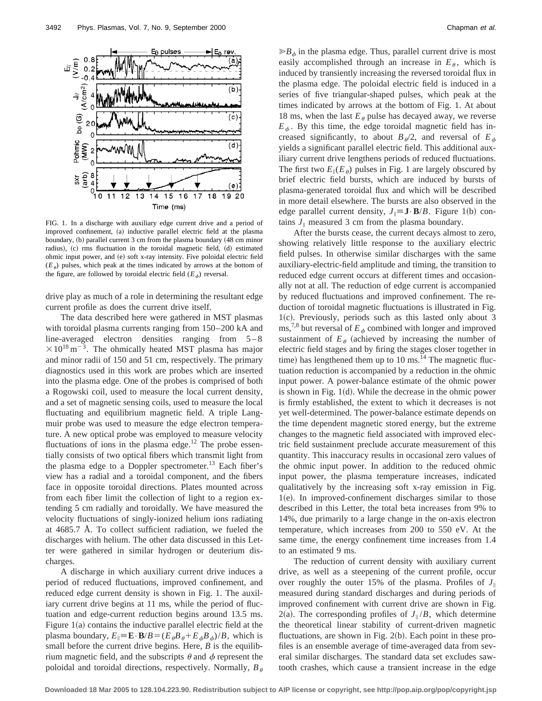

FIG. 1. In a discharge with auxiliary edge current drive and a period of improved confinement, (a) inductive parallel electric field at the plasma boundary, (b) parallel current 3 cm from the plasma boundary (48 cm minor radius), (c) rms fluctuation in the toroidal magnetic field, (d) estimated ohmic input power, and (e) soft x-ray intensity. Five poloidal electric field  $(E_\theta)$  pulses, which peak at the times indicated by arrows at the bottom of the figure, are followed by toroidal electric field  $(E_{\phi})$  reversal.

drive play as much of a role in determining the resultant edge current profile as does the current drive itself.

The data described here were gathered in MST plasmas with toroidal plasma currents ranging from 150–200 kA and line-averaged electron densities ranging from  $5-8$  $\times$ 10<sup>18</sup> m<sup>-3</sup>. The ohmically heated MST plasma has major and minor radii of 150 and 51 cm, respectively. The primary diagnostics used in this work are probes which are inserted into the plasma edge. One of the probes is comprised of both a Rogowski coil, used to measure the local current density, and a set of magnetic sensing coils, used to measure the local fluctuating and equilibrium magnetic field. A triple Langmuir probe was used to measure the edge electron temperature. A new optical probe was employed to measure velocity fluctuations of ions in the plasma edge.<sup>12</sup> The probe essentially consists of two optical fibers which transmit light from the plasma edge to a Doppler spectrometer.<sup>13</sup> Each fiber's view has a radial and a toroidal component, and the fibers face in opposite toroidal directions. Plates mounted across from each fiber limit the collection of light to a region extending 5 cm radially and toroidally. We have measured the velocity fluctuations of singly-ionized helium ions radiating at 4685.7 Å. To collect sufficient radiation, we fueled the discharges with helium. The other data discussed in this Letter were gathered in similar hydrogen or deuterium discharges.

A discharge in which auxiliary current drive induces a period of reduced fluctuations, improved confinement, and reduced edge current density is shown in Fig. 1. The auxiliary current drive begins at 11 ms, while the period of fluctuation and edge-current reduction begins around 13.5 ms. Figure  $1(a)$  contains the inductive parallel electric field at the plasma boundary,  $E_{\parallel} \equiv \mathbf{E} \cdot \mathbf{B}/B = (E_{\theta}B_{\theta} + E_{\phi}B_{\phi})/B$ , which is small before the current drive begins. Here, *B* is the equilibrium magnetic field, and the subscripts  $\theta$  and  $\phi$  represent the poloidal and toroidal directions, respectively. Normally,  $B_{\theta}$   $\gg B_{\phi}$  in the plasma edge. Thus, parallel current drive is most easily accomplished through an increase in  $E_{\theta}$ , which is induced by transiently increasing the reversed toroidal flux in the plasma edge. The poloidal electric field is induced in a series of five triangular-shaped pulses, which peak at the times indicated by arrows at the bottom of Fig. 1. At about 18 ms, when the last  $E_{\theta}$  pulse has decayed away, we reverse  $E_{\phi}$ . By this time, the edge toroidal magnetic field has increased significantly, to about  $B_{\phi}/2$ , and reversal of  $E_{\phi}$ yields a significant parallel electric field. This additional auxiliary current drive lengthens periods of reduced fluctuations. The first two  $E_{\parallel}(E_{\theta})$  pulses in Fig. 1 are largely obscured by brief electric field bursts, which are induced by bursts of plasma-generated toroidal flux and which will be described in more detail elsewhere. The bursts are also observed in the edge parallel current density,  $J_{\parallel} \equiv J \cdot B/B$ . Figure 1(b) contains  $J_{\parallel}$  measured 3 cm from the plasma boundary.

After the bursts cease, the current decays almost to zero, showing relatively little response to the auxiliary electric field pulses. In otherwise similar discharges with the same auxiliary-electric-field amplitude and timing, the transition to reduced edge current occurs at different times and occasionally not at all. The reduction of edge current is accompanied by reduced fluctuations and improved confinement. The reduction of toroidal magnetic fluctuations is illustrated in Fig.  $1(c)$ . Previously, periods such as this lasted only about 3 ms,<sup>7,8</sup> but reversal of  $E_{\phi}$  combined with longer and improved sustainment of  $E_\theta$  (achieved by increasing the number of electric field stages and by firing the stages closer together in time) has lengthened them up to  $10 \text{ ms.}^{14}$  The magnetic fluctuation reduction is accompanied by a reduction in the ohmic input power. A power-balance estimate of the ohmic power is shown in Fig.  $1(d)$ . While the decrease in the ohmic power is firmly established, the extent to which it decreases is not yet well-determined. The power-balance estimate depends on the time dependent magnetic stored energy, but the extreme changes to the magnetic field associated with improved electric field sustainment preclude accurate measurement of this quantity. This inaccuracy results in occasional zero values of the ohmic input power. In addition to the reduced ohmic input power, the plasma temperature increases, indicated qualitatively by the increasing soft x-ray emission in Fig.  $1(e)$ . In improved-confinement discharges similar to those described in this Letter, the total beta increases from 9% to 14%, due primarily to a large change in the on-axis electron temperature, which increases from 200 to 550 eV. At the same time, the energy confinement time increases from 1.4 to an estimated 9 ms.

The reduction of current density with auxiliary current drive, as well as a steepening of the current profile, occur over roughly the outer 15% of the plasma. Profiles of  $J_{\parallel}$ measured during standard discharges and during periods of improved confinement with current drive are shown in Fig.  $2(a)$ . The corresponding profiles of  $J_{\parallel}/B$ , which determine the theoretical linear stability of current-driven magnetic fluctuations, are shown in Fig.  $2(b)$ . Each point in these profiles is an ensemble average of time-averaged data from several similar discharges. The standard data set excludes sawtooth crashes, which cause a transient increase in the edge

**Downloaded 18 Mar 2005 to 128.104.223.90. Redistribution subject to AIP license or copyright, see http://pop.aip.org/pop/copyright.jsp**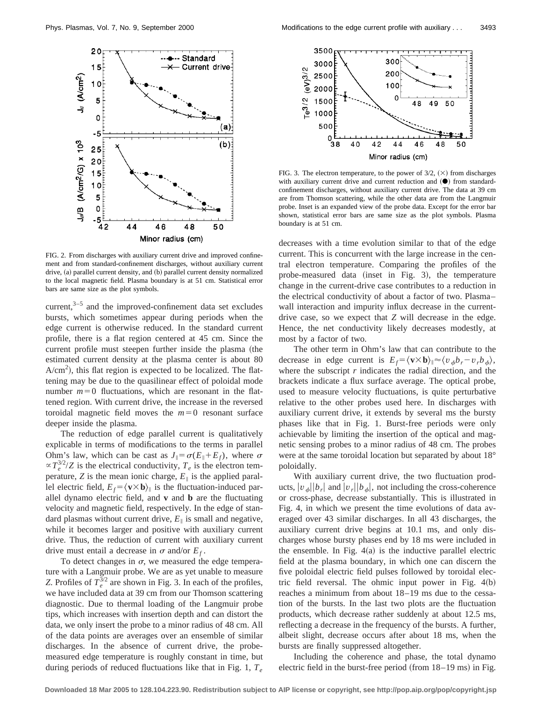

FIG. 2. From discharges with auxiliary current drive and improved confinement and from standard-confinement discharges, without auxiliary current drive, (a) parallel current density, and (b) parallel current density normalized to the local magnetic field. Plasma boundary is at 51 cm. Statistical error bars are same size as the plot symbols.

current, $3-5$  and the improved-confinement data set excludes bursts, which sometimes appear during periods when the edge current is otherwise reduced. In the standard current profile, there is a flat region centered at 45 cm. Since the current profile must steepen further inside the plasma (the estimated current density at the plasma center is about 80  $A/cm<sup>2</sup>$ ), this flat region is expected to be localized. The flattening may be due to the quasilinear effect of poloidal mode number  $m=0$  fluctuations, which are resonant in the flattened region. With current drive, the increase in the reversed toroidal magnetic field moves the  $m=0$  resonant surface deeper inside the plasma.

The reduction of edge parallel current is qualitatively explicable in terms of modifications to the terms in parallel Ohm's law, which can be cast as  $J_{\parallel} = \sigma(E_{\parallel} + E_f)$ , where  $\sigma$  $\propto T_e^{3/2}/Z$  is the electrical conductivity,  $T_e$  is the electron temperature, *Z* is the mean ionic charge,  $E_{\parallel}$  is the applied parallel electric field,  $E_f = \langle \mathbf{v} \times \mathbf{b} \rangle_{\parallel}$  is the fluctuation-induced parallel dynamo electric field, and **v** and **b** are the fluctuating velocity and magnetic field, respectively. In the edge of standard plasmas without current drive,  $E_{\parallel}$  is small and negative, while it becomes larger and positive with auxiliary current drive. Thus, the reduction of current with auxiliary current drive must entail a decrease in  $\sigma$  and/or  $E_f$ .

To detect changes in  $\sigma$ , we measured the edge temperature with a Langmuir probe. We are as yet unable to measure *Z*. Profiles of  $T_e^{3/2}$  are shown in Fig. 3. In each of the profiles, we have included data at 39 cm from our Thomson scattering diagnostic. Due to thermal loading of the Langmuir probe tips, which increases with insertion depth and can distort the data, we only insert the probe to a minor radius of 48 cm. All of the data points are averages over an ensemble of similar discharges. In the absence of current drive, the probemeasured edge temperature is roughly constant in time, but during periods of reduced fluctuations like that in Fig. 1, *Te*



FIG. 3. The electron temperature, to the power of  $3/2$ ,  $(\times)$  from discharges with auxiliary current drive and current reduction and  $(\bullet)$  from standardconfinement discharges, without auxiliary current drive. The data at 39 cm are from Thomson scattering, while the other data are from the Langmuir probe. Inset is an expanded view of the probe data. Except for the error bar shown, statistical error bars are same size as the plot symbols. Plasma boundary is at 51 cm.

decreases with a time evolution similar to that of the edge current. This is concurrent with the large increase in the central electron temperature. Comparing the profiles of the probe-measured data (inset in Fig. 3), the temperature change in the current-drive case contributes to a reduction in the electrical conductivity of about a factor of two. Plasma– wall interaction and impurity influx decrease in the currentdrive case, so we expect that *Z* will decrease in the edge. Hence, the net conductivity likely decreases modestly, at most by a factor of two.

The other term in Ohm's law that can contribute to the decrease in edge current is  $E_f = \langle \mathbf{v} \times \mathbf{b} \rangle \approx \langle v_a b_r - v_r b_a \rangle$ , where the subscript *r* indicates the radial direction, and the brackets indicate a flux surface average. The optical probe, used to measure velocity fluctuations, is quite perturbative relative to the other probes used here. In discharges with auxiliary current drive, it extends by several ms the bursty phases like that in Fig. 1. Burst-free periods were only achievable by limiting the insertion of the optical and magnetic sensing probes to a minor radius of 48 cm. The probes were at the same toroidal location but separated by about 18° poloidally.

With auxiliary current drive, the two fluctuation products,  $|v_a||b_r|$  and  $|v_r||b_a|$ , not including the cross-coherence or cross-phase, decrease substantially. This is illustrated in Fig. 4, in which we present the time evolutions of data averaged over 43 similar discharges. In all 43 discharges, the auxiliary current drive begins at 10.1 ms, and only discharges whose bursty phases end by 18 ms were included in the ensemble. In Fig.  $4(a)$  is the inductive parallel electric field at the plasma boundary, in which one can discern the five poloidal electric field pulses followed by toroidal electric field reversal. The ohmic input power in Fig.  $4(b)$ reaches a minimum from about 18–19 ms due to the cessation of the bursts. In the last two plots are the fluctuation products, which decrease rather suddenly at about 12.5 ms, reflecting a decrease in the frequency of the bursts. A further, albeit slight, decrease occurs after about 18 ms, when the bursts are finally suppressed altogether.

Including the coherence and phase, the total dynamo electric field in the burst-free period (from  $18-19$  ms) in Fig.